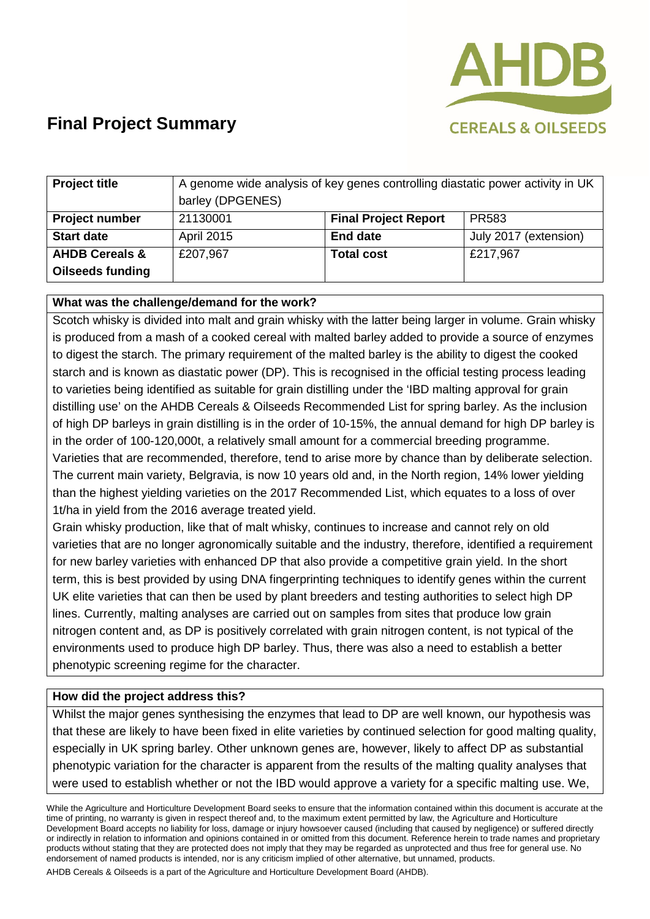

| <b>Project title</b>      | A genome wide analysis of key genes controlling diastatic power activity in UK<br>barley (DPGENES) |                             |                       |
|---------------------------|----------------------------------------------------------------------------------------------------|-----------------------------|-----------------------|
| <b>Project number</b>     | 21130001                                                                                           | <b>Final Project Report</b> | <b>PR583</b>          |
| <b>Start date</b>         | <b>April 2015</b>                                                                                  | <b>End date</b>             | July 2017 (extension) |
| <b>AHDB Cereals &amp;</b> | £207,967                                                                                           | <b>Total cost</b>           | £217,967              |
| <b>Oilseeds funding</b>   |                                                                                                    |                             |                       |

### **What was the challenge/demand for the work?**

Scotch whisky is divided into malt and grain whisky with the latter being larger in volume. Grain whisky is produced from a mash of a cooked cereal with malted barley added to provide a source of enzymes to digest the starch. The primary requirement of the malted barley is the ability to digest the cooked starch and is known as diastatic power (DP). This is recognised in the official testing process leading to varieties being identified as suitable for grain distilling under the 'IBD malting approval for grain distilling use' on the AHDB Cereals & Oilseeds Recommended List for spring barley. As the inclusion of high DP barleys in grain distilling is in the order of 10-15%, the annual demand for high DP barley is in the order of 100-120,000t, a relatively small amount for a commercial breeding programme. Varieties that are recommended, therefore, tend to arise more by chance than by deliberate selection. The current main variety, Belgravia, is now 10 years old and, in the North region, 14% lower yielding than the highest yielding varieties on the 2017 Recommended List, which equates to a loss of over 1t/ha in yield from the 2016 average treated yield.

Grain whisky production, like that of malt whisky, continues to increase and cannot rely on old varieties that are no longer agronomically suitable and the industry, therefore, identified a requirement for new barley varieties with enhanced DP that also provide a competitive grain yield. In the short term, this is best provided by using DNA fingerprinting techniques to identify genes within the current UK elite varieties that can then be used by plant breeders and testing authorities to select high DP lines. Currently, malting analyses are carried out on samples from sites that produce low grain nitrogen content and, as DP is positively correlated with grain nitrogen content, is not typical of the environments used to produce high DP barley. Thus, there was also a need to establish a better phenotypic screening regime for the character.

#### **How did the project address this?**

Whilst the major genes synthesising the enzymes that lead to DP are well known, our hypothesis was that these are likely to have been fixed in elite varieties by continued selection for good malting quality, especially in UK spring barley. Other unknown genes are, however, likely to affect DP as substantial phenotypic variation for the character is apparent from the results of the malting quality analyses that were used to establish whether or not the IBD would approve a variety for a specific malting use. We,

While the Agriculture and Horticulture Development Board seeks to ensure that the information contained within this document is accurate at the time of printing, no warranty is given in respect thereof and, to the maximum extent permitted by law, the Agriculture and Horticulture Development Board accepts no liability for loss, damage or injury howsoever caused (including that caused by negligence) or suffered directly or indirectly in relation to information and opinions contained in or omitted from this document. Reference herein to trade names and proprietary products without stating that they are protected does not imply that they may be regarded as unprotected and thus free for general use. No endorsement of named products is intended, nor is any criticism implied of other alternative, but unnamed, products.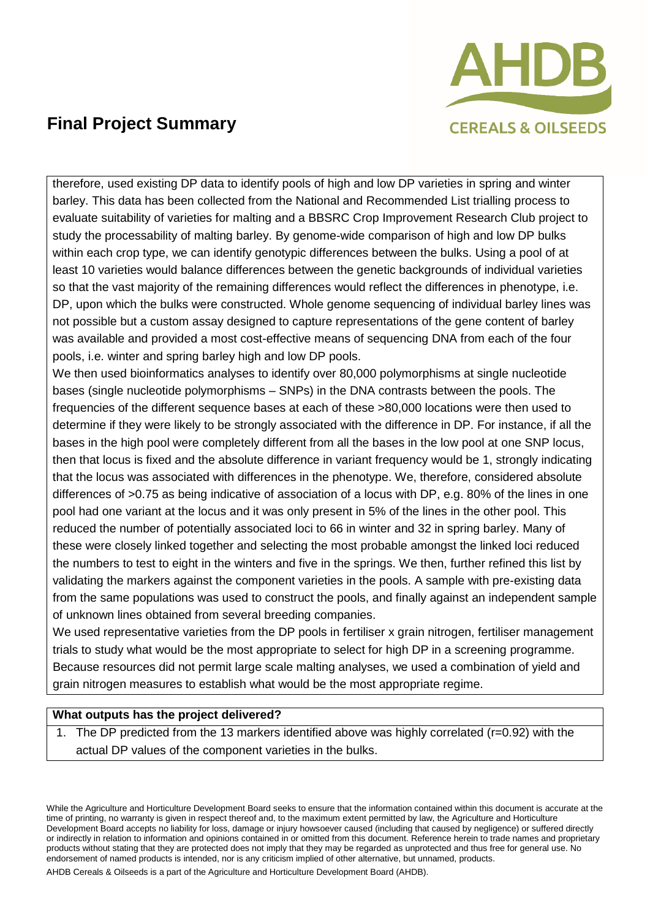

therefore, used existing DP data to identify pools of high and low DP varieties in spring and winter barley. This data has been collected from the National and Recommended List trialling process to evaluate suitability of varieties for malting and a BBSRC Crop Improvement Research Club project to study the processability of malting barley. By genome-wide comparison of high and low DP bulks within each crop type, we can identify genotypic differences between the bulks. Using a pool of at least 10 varieties would balance differences between the genetic backgrounds of individual varieties so that the vast majority of the remaining differences would reflect the differences in phenotype, i.e. DP, upon which the bulks were constructed. Whole genome sequencing of individual barley lines was not possible but a custom assay designed to capture representations of the gene content of barley was available and provided a most cost-effective means of sequencing DNA from each of the four pools, i.e. winter and spring barley high and low DP pools.

We then used bioinformatics analyses to identify over 80,000 polymorphisms at single nucleotide bases (single nucleotide polymorphisms – SNPs) in the DNA contrasts between the pools. The frequencies of the different sequence bases at each of these >80,000 locations were then used to determine if they were likely to be strongly associated with the difference in DP. For instance, if all the bases in the high pool were completely different from all the bases in the low pool at one SNP locus, then that locus is fixed and the absolute difference in variant frequency would be 1, strongly indicating that the locus was associated with differences in the phenotype. We, therefore, considered absolute differences of >0.75 as being indicative of association of a locus with DP, e.g. 80% of the lines in one pool had one variant at the locus and it was only present in 5% of the lines in the other pool. This reduced the number of potentially associated loci to 66 in winter and 32 in spring barley. Many of these were closely linked together and selecting the most probable amongst the linked loci reduced the numbers to test to eight in the winters and five in the springs. We then, further refined this list by validating the markers against the component varieties in the pools. A sample with pre-existing data from the same populations was used to construct the pools, and finally against an independent sample of unknown lines obtained from several breeding companies.

We used representative varieties from the DP pools in fertiliser x grain nitrogen, fertiliser management trials to study what would be the most appropriate to select for high DP in a screening programme. Because resources did not permit large scale malting analyses, we used a combination of yield and grain nitrogen measures to establish what would be the most appropriate regime.

#### **What outputs has the project delivered?**

1. The DP predicted from the 13 markers identified above was highly correlated (r=0.92) with the actual DP values of the component varieties in the bulks.

While the Agriculture and Horticulture Development Board seeks to ensure that the information contained within this document is accurate at the time of printing, no warranty is given in respect thereof and, to the maximum extent permitted by law, the Agriculture and Horticulture Development Board accepts no liability for loss, damage or injury howsoever caused (including that caused by negligence) or suffered directly or indirectly in relation to information and opinions contained in or omitted from this document. Reference herein to trade names and proprietary products without stating that they are protected does not imply that they may be regarded as unprotected and thus free for general use. No endorsement of named products is intended, nor is any criticism implied of other alternative, but unnamed, products.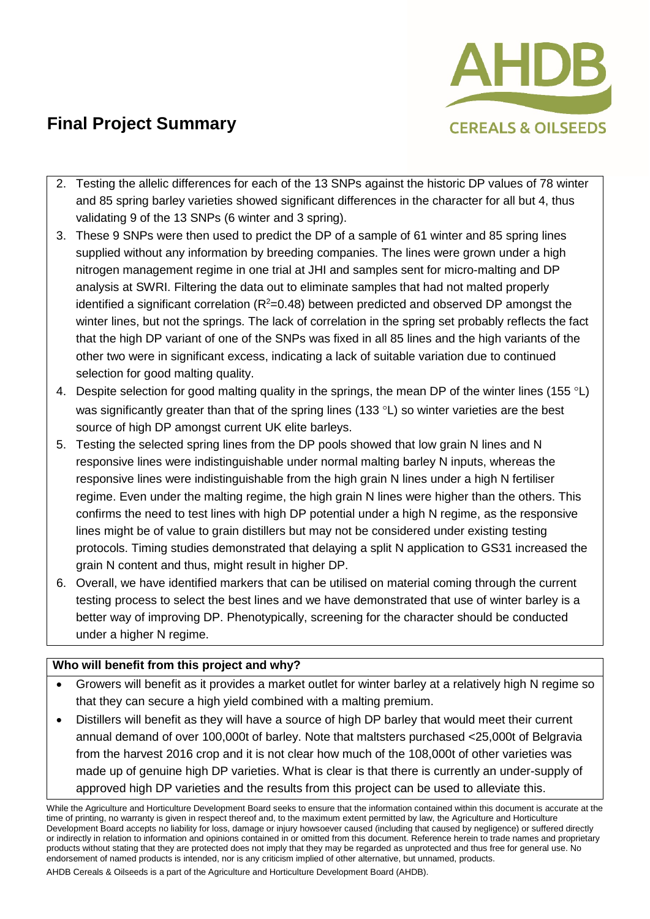

- 2. Testing the allelic differences for each of the 13 SNPs against the historic DP values of 78 winter and 85 spring barley varieties showed significant differences in the character for all but 4, thus validating 9 of the 13 SNPs (6 winter and 3 spring).
- 3. These 9 SNPs were then used to predict the DP of a sample of 61 winter and 85 spring lines supplied without any information by breeding companies. The lines were grown under a high nitrogen management regime in one trial at JHI and samples sent for micro-malting and DP analysis at SWRI. Filtering the data out to eliminate samples that had not malted properly identified a significant correlation ( $R^2$ =0.48) between predicted and observed DP amongst the winter lines, but not the springs. The lack of correlation in the spring set probably reflects the fact that the high DP variant of one of the SNPs was fixed in all 85 lines and the high variants of the other two were in significant excess, indicating a lack of suitable variation due to continued selection for good malting quality.
- 4. Despite selection for good malting quality in the springs, the mean DP of the winter lines (155  $\degree$ L) was significantly greater than that of the spring lines (133 °L) so winter varieties are the best source of high DP amongst current UK elite barleys.
- 5. Testing the selected spring lines from the DP pools showed that low grain N lines and N responsive lines were indistinguishable under normal malting barley N inputs, whereas the responsive lines were indistinguishable from the high grain N lines under a high N fertiliser regime. Even under the malting regime, the high grain N lines were higher than the others. This confirms the need to test lines with high DP potential under a high N regime, as the responsive lines might be of value to grain distillers but may not be considered under existing testing protocols. Timing studies demonstrated that delaying a split N application to GS31 increased the grain N content and thus, might result in higher DP.
- 6. Overall, we have identified markers that can be utilised on material coming through the current testing process to select the best lines and we have demonstrated that use of winter barley is a better way of improving DP. Phenotypically, screening for the character should be conducted under a higher N regime.

#### **Who will benefit from this project and why?**

- Growers will benefit as it provides a market outlet for winter barley at a relatively high N regime so that they can secure a high yield combined with a malting premium.
- Distillers will benefit as they will have a source of high DP barley that would meet their current annual demand of over 100,000t of barley. Note that maltsters purchased <25,000t of Belgravia from the harvest 2016 crop and it is not clear how much of the 108,000t of other varieties was made up of genuine high DP varieties. What is clear is that there is currently an under-supply of approved high DP varieties and the results from this project can be used to alleviate this.

While the Agriculture and Horticulture Development Board seeks to ensure that the information contained within this document is accurate at the time of printing, no warranty is given in respect thereof and, to the maximum extent permitted by law, the Agriculture and Horticulture Development Board accepts no liability for loss, damage or injury howsoever caused (including that caused by negligence) or suffered directly or indirectly in relation to information and opinions contained in or omitted from this document. Reference herein to trade names and proprietary products without stating that they are protected does not imply that they may be regarded as unprotected and thus free for general use. No endorsement of named products is intended, nor is any criticism implied of other alternative, but unnamed, products.